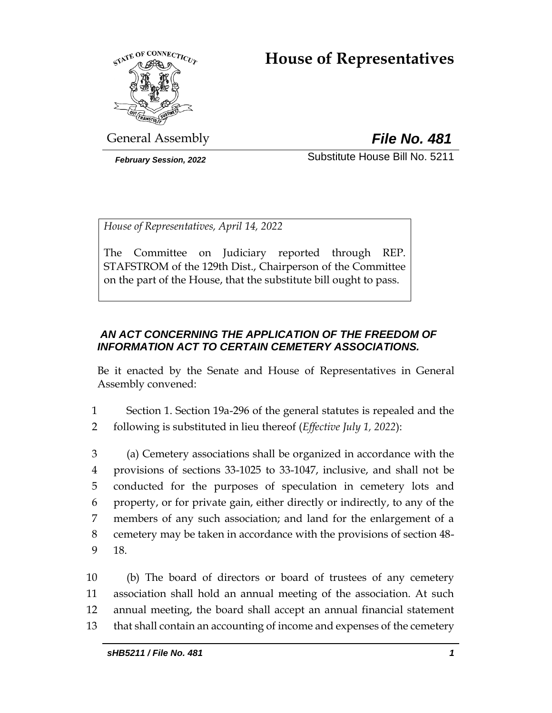# **House of Representatives**



General Assembly *File No. 481*

*February Session, 2022* Substitute House Bill No. 5211

*House of Representatives, April 14, 2022*

The Committee on Judiciary reported through REP. STAFSTROM of the 129th Dist., Chairperson of the Committee on the part of the House, that the substitute bill ought to pass.

# *AN ACT CONCERNING THE APPLICATION OF THE FREEDOM OF INFORMATION ACT TO CERTAIN CEMETERY ASSOCIATIONS.*

Be it enacted by the Senate and House of Representatives in General Assembly convened:

1 Section 1. Section 19a-296 of the general statutes is repealed and the 2 following is substituted in lieu thereof (*Effective July 1, 2022*):

 (a) Cemetery associations shall be organized in accordance with the provisions of sections 33-1025 to 33-1047, inclusive, and shall not be conducted for the purposes of speculation in cemetery lots and property, or for private gain, either directly or indirectly, to any of the members of any such association; and land for the enlargement of a cemetery may be taken in accordance with the provisions of section 48- 9 18.

 (b) The board of directors or board of trustees of any cemetery association shall hold an annual meeting of the association. At such annual meeting, the board shall accept an annual financial statement that shall contain an accounting of income and expenses of the cemetery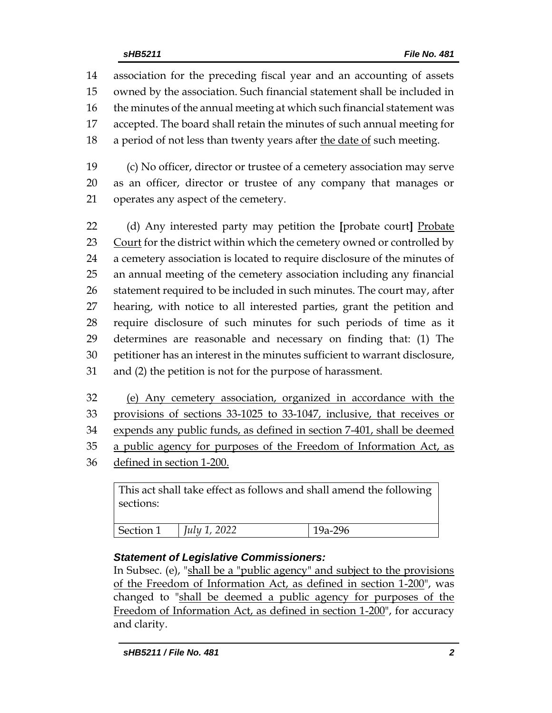association for the preceding fiscal year and an accounting of assets owned by the association. Such financial statement shall be included in the minutes of the annual meeting at which such financial statement was accepted. The board shall retain the minutes of such annual meeting for 18 a period of not less than twenty years after the date of such meeting.

19 (c) No officer, director or trustee of a cemetery association may serve 20 as an officer, director or trustee of any company that manages or 21 operates any aspect of the cemetery.

 (d) Any interested party may petition the **[**probate court**]** Probate 23 Court for the district within which the cemetery owned or controlled by a cemetery association is located to require disclosure of the minutes of an annual meeting of the cemetery association including any financial 26 statement required to be included in such minutes. The court may, after hearing, with notice to all interested parties, grant the petition and require disclosure of such minutes for such periods of time as it determines are reasonable and necessary on finding that: (1) The petitioner has an interest in the minutes sufficient to warrant disclosure, and (2) the petition is not for the purpose of harassment.

 (e) Any cemetery association, organized in accordance with the provisions of sections 33-1025 to 33-1047, inclusive, that receives or expends any public funds, as defined in section 7-401, shall be deemed a public agency for purposes of the Freedom of Information Act, as defined in section 1-200.

This act shall take effect as follows and shall amend the following sections:

| Section 1 | $\vert$ <i>July 1, 2022</i> | $19a-296$ |
|-----------|-----------------------------|-----------|
|           |                             |           |

# *Statement of Legislative Commissioners:*

In Subsec. (e), "shall be a "public agency" and subject to the provisions of the Freedom of Information Act, as defined in section 1-200", was changed to "shall be deemed a public agency for purposes of the Freedom of Information Act, as defined in section 1-200", for accuracy and clarity.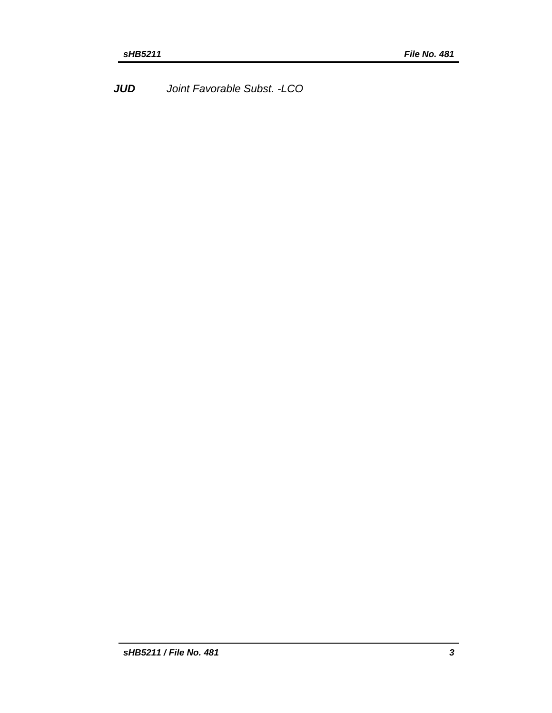*JUD Joint Favorable Subst. -LCO*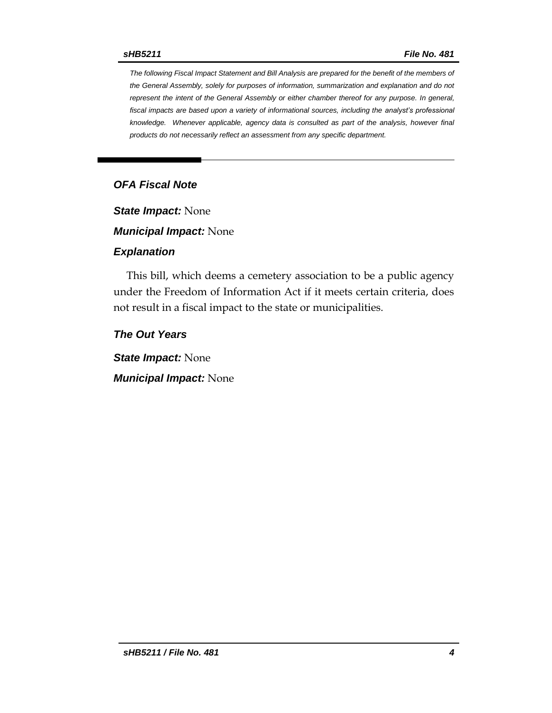*The following Fiscal Impact Statement and Bill Analysis are prepared for the benefit of the members of the General Assembly, solely for purposes of information, summarization and explanation and do not represent the intent of the General Assembly or either chamber thereof for any purpose. In general,*  fiscal impacts are based upon a variety of informational sources, including the analyst's professional *knowledge. Whenever applicable, agency data is consulted as part of the analysis, however final products do not necessarily reflect an assessment from any specific department.*

# *OFA Fiscal Note*

*State Impact:* None

*Municipal Impact:* None

#### *Explanation*

This bill, which deems a cemetery association to be a public agency under the Freedom of Information Act if it meets certain criteria, does not result in a fiscal impact to the state or municipalities.

*The Out Years*

*State Impact:* None

*Municipal Impact:* None